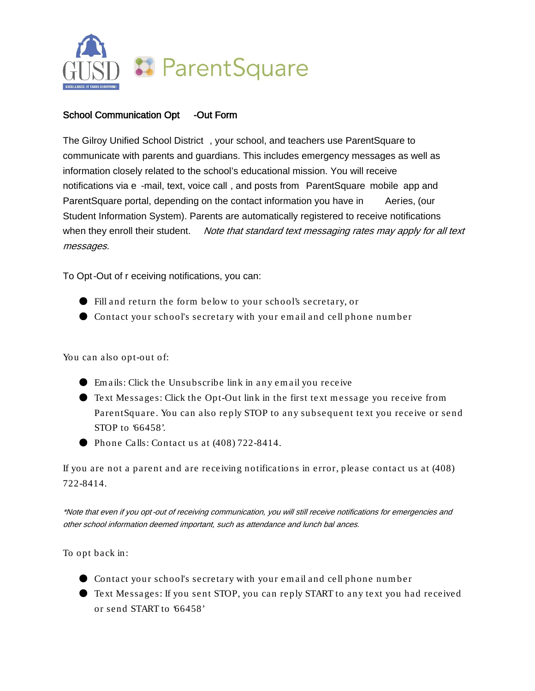

## School Communication Opt -Out Form

The Gilroy Unified School District , your school, and teachers use ParentSquare to communicate with parents and guardians. This includes emergency messages as well as information closely related to the school's educational mission. You will receive notifications via e -mail, text, voice call , and posts from ParentSquare mobile app and ParentSquare portal, depending on the contact information you have in Aeries, (our Student Information System). Parents are automatically registered to receive notifications when they enroll their student. Note that standard text messaging rates may apply for all text messages.

To Opt-Out of r eceiving notifications, you can:

- Fill and return the form below to your school's secretary, or
- Contact your school's secretary with your em ail and cell phone num ber

You can also opt-out of:

- Em ails: Click the Unsubscribe link in any em ail you receive
- Text Messages: Click the Opt-Out link in the first text message you receive from ParentSquare. You can also reply STOP to any subsequent text you receive or send STOP to '66458'.
- Phone Calls: Contact us at (408) 722-8414.

If you are not a parent and are receiving notifications in error, please contact us at (408) 722-8414.

\*Note that even if you opt-out of receiving communication, you will still receive notifications for emergencies and other school information deemed important, such as attendance and lunch bal ances.

To opt back in:

- Contact your school's secretary with your em ail and cell phone num ber
- Text Messages: If you sent STOP, you can reply START to any text you had received or send START to '66458'